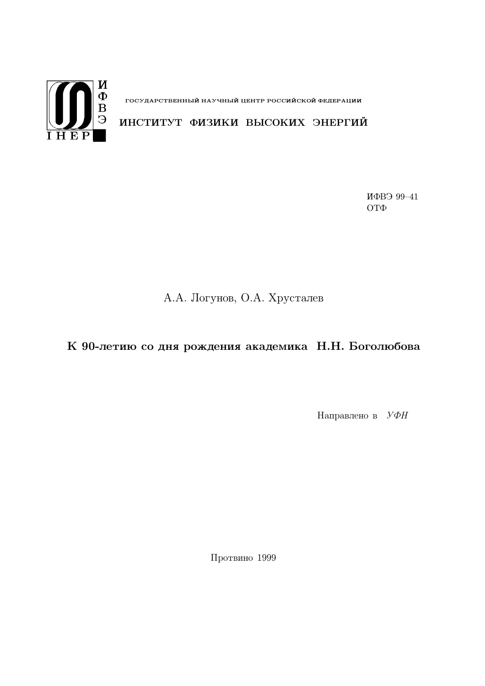

**IV**<br> **E** государственный научный центр российской федерации<br>
Э ИНСТИТУТ ФИЗИКИ ВЫСОКИХ ЭНЕРГИЙ

ИФВЭ 99-41  $QTQ$ 

## А.А. Логунов, О.А. Хрусталев

К 90-летию со дня рождения академика Н.Н. Боголюбова

Направлено в  $V\Phi H$ 

Протвино 1999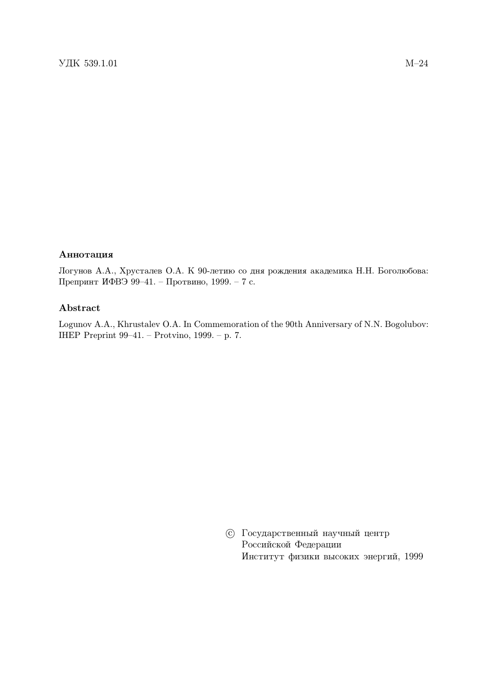## Аннотация

Логунов А.А., Хрусталев О.А. К 90-летию со дня рождения академика Н.Н. Боголюбова: Препринт ИФВЭ 99-41. - Протвино, 1999. - 7 с.

## Abstract

Logunov A.A., Khrustalev O.A. In Commemoration of the 90th Anniversary of N.N. Bogolubov: IHEP Preprint 99-41. - Protvino, 1999. - p. 7.

> **© Государственный научный центр** Российской Федерации Институт физики высоких энергий, 1999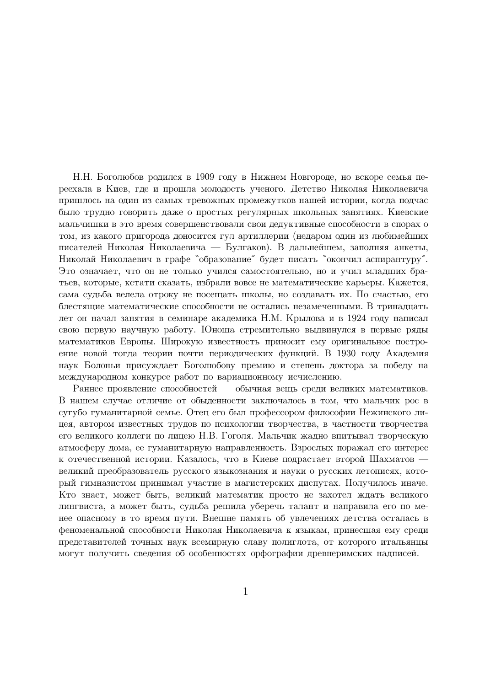Н.Н. Боголюбов родился в 1909 году в Нижнем Новгороде, но вскоре семья переехала в Киев, где и прошла молодость ученого. Детство Николая Николаевича пришлось на один из самых тревожных промежутков нашей истории, когда подчас было трудно говорить даже о простых регулярных школьных занятиях. Киевские мальчишки в это время совершенствовали свои дедуктивные способности в спорах о том, из какого пригорода доносится гул артиллерии (недаром один из любимейших писателей Николая Николаевича — Булгаков). В дальнейшем, заполняя анкеты, Николай Николаевич в графе "образование" будет писать "окончил аспирантуру". Это означает, что он не только учился самостоятельно, но и учил младших братьев, которые, кстати сказать, избрали вовсе не математические карьеры. Кажется, сама судьба велела отроку не посещать школы, но создавать их. По счастью, его блестящие математические способности не остались незамеченными. В тринадцать лет он начал занятия в семинаре академика Н.М. Крылова и в 1924 году написал свою первую научную работу. Юноша стремительно выдвинулся в первые ряды математиков Европы. Широкую известность приносит ему оригинальное построение новой тогда теории почти периодических функций. В 1930 году Академия наук Болоньи присуждает Боголюбову премию и степень доктора за победу на международном конкурсе работ по вариационному исчислению.

Раннее проявление способностей — обычная вещь среди великих математиков. В нашем случае отличие от обыденности заключалось в том, что мальчик рос в сугубо гуманитарной семье. Отец его был профессором философии Нежинского лицея, автором известных трудов по психологии творчества, в частности творчества его великого коллеги по лицею Н.В. Гоголя. Мальчик жадно впитывал творческую атмосферу дома, ее гуманитарную направленность. Взрослых поражал его интерес к отечественной истории. Казалось, что в Киеве подрастает второй Шахматов великий преобразователь русского языкознания и науки о русских летописях, который гимназистом принимал участие в магистерских диспутах. Получилось иначе. Кто знает, может быть, великий математик просто не захотел ждать великого лингвиста, а может быть, судьба решила уберечь талант и направила его по менее опасному в то время пути. Внешне память об увлечениях детства осталась в феноменальной способности Николая Николаевича к языкам, принесшая ему среди представителей точных наук всемирную славу полиглота, от которого итальянцы могут получить сведения об особенностях орфографии древнеримских надписей.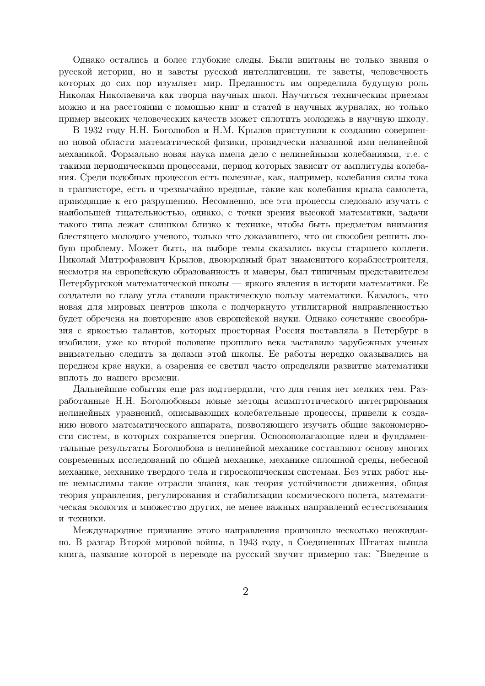Однако остались и более глубокие следы. Были впитаны не только знания о русской истории, но и заветы русской интеллигенции, те заветы, человечность которых до сих пор изумляет мир. Преданность им определила будущую роль Николая Николаевича как творца научных школ. Научиться техническим приемам можно и на расстоянии с помощью книг и статей в научных журналах, но только пример высоких человеческих качеств может сплотить молодежь в научную школу.

В 1932 году Н.Н. Боголюбов и Н.М. Крылов приступили к созданию совершенно новой области математической физики, провидчески названной ими нелинейной механикой. Формально новая наука имела дело с нелинейными колебаниями, т.е. с такими периодическими процессами. период которых зависит от амплитулы колебания. Среди подобных процессов есть полезные, как, например, колебания силы тока в транзисторе, есть и чрезвычайно вредные, такие как колебания крыла самолета, приводящие к его разрушению. Несомненно, все эти процессы следовало изучать с наибольшей тщательностью, однако, с точки зрения высокой математики, задачи такого типа лежат слишком близко к технике, чтобы быть предметом внимания блестящего молодого ученого, только что доказавшего, что он способен решить любую проблему. Может быть, на выборе темы сказались вкусы старшего коллеги. Николай Митрофанович Крылов, двоюродный брат знаменитого кораблестроителя, несмотря на европейскую образованность и манеры, был типичным представителем Петербургской математической школы — яркого явления в истории математики. Ее создатели во главу угла ставили практическую пользу математики. Казалось, что новая для мировых центров школа с подчеркнуто утилитарной направленностью будет обречена на повторение азов европейской науки. Однако сочетание своеобразия с яркостью талантов, которых просторная Россия поставляла в Петербург в изобилии, уже ко второй половине прошлого века заставило зарубежных ученых внимательно следить за делами этой школы. Ее работы нередко оказывались на переднем крае науки, а озарения ее светил часто определяли развитие математики вплоть до нашего времени.

Дальнейшие события еще раз подтвердили, что для гения нет мелких тем. Разработанные Н.Н. Боголюбовым новые методы асимптотического интегрирования нелинейных уравнений, описывающих колебательные процессы, привели к созданию нового математического аппарата, позволяющего изучать общие закономерности систем, в которых сохраняется энергия. Основополагающие идеи и фундаментальные результаты Боголюбова в нелинейной механике составляют основу многих современных исследований по общей механике, механике сплошной среды, небесной механике, механике твердого тела и гироскопическим системам. Без этих работ ныне немыслимы такие отрасли знания, как теория устойчивости движения, общая теория управления, регулирования и стабилизации космического полета, математическая экология и множество других, не менее важных направлений естествознания и техники.

Международное признание этого направления произошло несколько неожиданно. В разгар Второй мировой войны, в 1943 году, в Соединенных Штатах вышла книга, название которой в переводе на русский звучит примерно так: "Введение в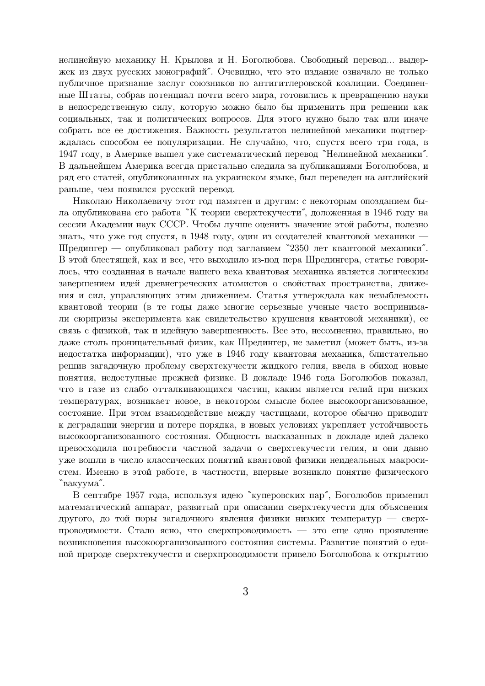нелинейную механику Н. Крылова и Н. Боголюбова. Свободный перевод... выдержек из двух русских монографий". Очевидно, что это издание означало не только публичное признание заслуг союзников по антигитлеровской коалиции. Соединенные Штаты, собрав потенциал почти всего мира, готовились к превращению науки в непосредственную силу, которую можно было бы применить при решении как социальных, так и политических вопросов. Для этого нужно было так или иначе собрать все ее достижения. Важность результатов нелинейной механики подтверждалась способом ее популяризации. Не случайно, что, спустя всего три года, в 1947 году, в Америке вышел уже систематический перевод "Нелинейной механики". В дальнейшем Америка всегда пристально следила за публикациями Боголюбова, и ряд его статей, опубликованных на украинском языке, был переведен на английский раньше, чем появился русский перевод.

Николаю Николаевичу этот год памятен и другим: с некоторым опозданием была опубликована его работа "К теории сверхтекучести", доложенная в 1946 году на сессии Академии наук СССР. Чтобы лучше оценить значение этой работы, полезно знать, что уже год спустя, в 1948 году, один из создателей квантовой механики -Шредингер — опубликовал работу под заглавием "2350 лет квантовой механики". В этой блестящей, как и все, что выходило из-под пера Шредингера, статье говорилось, что созданная в начале нашего века квантовая механика является логическим завершением идей древнегреческих атомистов о свойствах пространства, движения и сил, управляющих этим движением. Статья утверждала как незыблемость квантовой теории (в те годы даже многие серьезные ученые часто воспринимали сюрпризы эксперимента как свидетельство крушения квантовой механики), ее связь с физикой, так и идейную завершенность. Все это, несомненно, правильно, но даже столь проницательный физик, как Шредингер, не заметил (может быть, из-за недостатка информации), что уже в 1946 году квантовая механика, блистательно решив загадочную проблему сверхтекучести жидкого гелия, ввела в обиход новые понятия, недоступные прежней физике. В докладе 1946 года Боголюбов показал, что в газе из слабо отталкивающихся частиц, каким является гелий при низких температурах, возникает новое, в некотором смысле более высокоорганизованное, состояние. При этом взаимодействие между частицами, которое обычно приводит к деградации энергии и потере порядка, в новых условиях укрепляет устойчивость высокоорганизованного состояния. Общность высказанных в докладе идей далеко превосходила потребности частной задачи о сверхтекучести гелия, и они давно уже вошли в число классических понятий квантовой физики неидеальных макросистем. Именно в этой работе, в частности, впервые возникло понятие физического "вакуума".

В сентябре 1957 года, используя идею "куперовских пар", Боголюбов применил математический аппарат, развитый при описании сверхтекучести для объяснения другого, до той поры загадочного явления физики низких температур — сверхпроводимости. Стало ясно, что сверхпроводимость - это еще одно проявление возникновения высокоорганизованного состояния системы. Развитие понятий о единой природе сверхтекучести и сверхпроводимости привело Боголюбова к открытию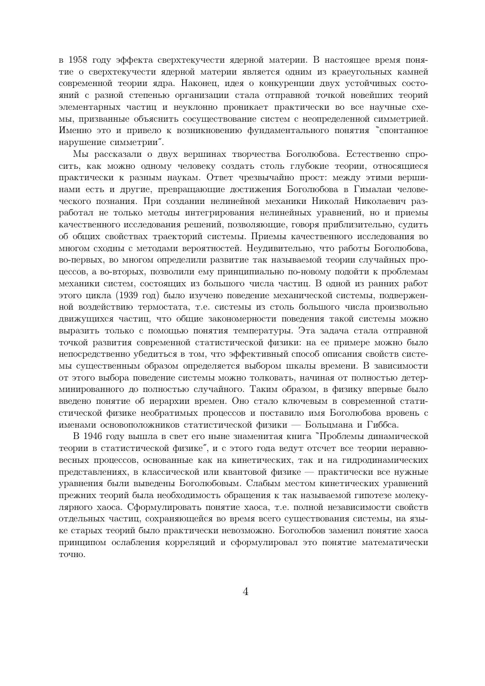в 1958 году эффекта сверхтекучести ядерной материи. В настоящее время понятие о сверхтекучести ядерной материи является одним из краеугольных камней современной теории ядра. Наконец, идея о конкуренции двух устойчивых состояний с разной степенью организации стала отправной точкой новейших теорий элементарных частиц и неуклонно проникает практически во все научные схемы, призванные объяснить сосуществование систем с неопределенной симметрией. Именно это и привело к возникновению фундаментального понятия "спонтанное нарушение симметрии".

Мы рассказали о двух вершинах творчества Боголюбова. Естественно спросить, как можно одному человеку создать столь глубокие теории, относящиеся практически к разным наукам. Ответ чрезвычайно прост: между этими вершинами есть и другие, превращающие достижения Боголюбова в Гималаи человеческого познания. При создании нелинейной механики Николай Николаевич разработал не только методы интегрирования нелинейных уравнений, но и приемы качественного исследования решений, позволяющие, говоря приблизительно, судить об общих свойствах траекторий системы. Приемы качественного исследования во многом сходны с методами вероятностей. Неудивительно, что работы Боголюбова, во-первых, во многом определили развитие так называемой теории случайных процессов, а во-вторых, позволили ему принципиально по-новому подойти к проблемам механики систем, состоящих из большого числа частиц. В одной из ранних работ этого цикла (1939 год) было изучено поведение механической системы, подверженной воздействию термостата, т.е. системы из столь большого числа произвольно движущихся частиц, что общие закономерности поведения такой системы можно выразить только с помощью понятия температуры. Эта задача стала отправной точкой развития современной статистической физики: на ее примере можно было непосредственно убедиться в том, что эффективный способ описания свойств системы существенным образом определяется выбором шкалы времени. В зависимости от этого выбора поведение системы можно толковать, начиная от полностью детерминированного до полностью случайного. Таким образом, в физику впервые было введено понятие об иерархии времен. Оно стало ключевым в современной статистической физике необратимых процессов и поставило имя Боголюбова вровень с именами основоположников статистической физики — Больцмана и Гиббса.

В 1946 году вышла в свет его ныне знаменитая книга "Проблемы динамической теории в статистической физике", и с этого года ведут отсчет все теории неравновесных процессов, основанные как на кинетических, так и на гидродинамических представлениях, в классической или квантовой физике — практически все нужные уравнения были выведены Боголюбовым. Слабым местом кинетических уравнений прежних теорий была необходимость обращения к так называемой гипотезе молекулярного хаоса. Сформулировать понятие хаоса, т.е. полной независимости свойств отдельных частиц, сохраняющейся во время всего существования системы, на языке старых теорий было практически невозможно. Боголюбов заменил понятие хаоса принципом ослабления корреляций и сформулировал это понятие математически точно.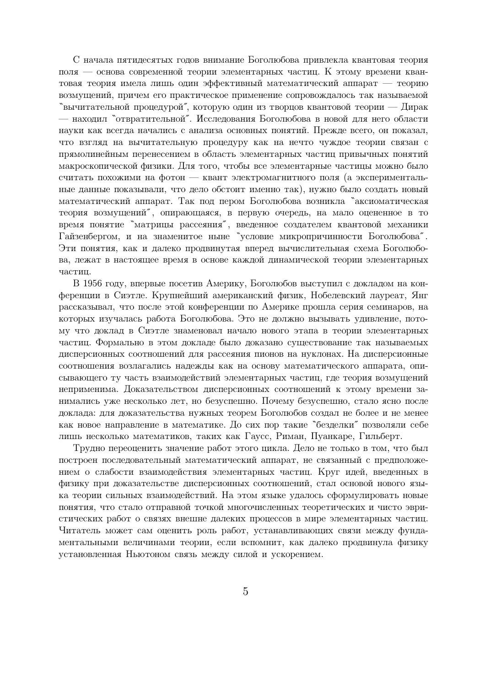С начала пятидесятых годов внимание Боголюбова привлекла квантовая теория поля — основа современной теории элементарных частиц. К этому времени квантовая теория имела лишь один эффективный математический аппарат — теорию возмущений, причем его практическое применение сопровождалось так называемой "вычитательной процедурой", которую один из творцов квантовой теории — Дирак — находил "отвратительной". Исследования Боголюбова в новой для него области науки как всегда начались с анализа основных понятий. Прежде всего, он показал, что взгляд на вычитательную процедуру как на нечто чуждое теории связан с прямолинейным перенесением в область элементарных частиц привычных понятий макроскопической физики. Лля того, чтобы все элементарные частины можно было считать похожими на фотон — квант электромагнитного поля (а экспериментальные данные показывали, что дело обстоит именно так), нужно было создать новый математический аппарат. Так под пером Боголюбова возникла "аксиоматическая теория возмущений", опирающаяся, в первую очередь, на мало оцененное в то время понятие "матрицы рассеяния", введенное создателем квантовой механики Гайзенбергом, и на знаменитое ныне "условие микропричинности Боголюбова". Эти понятия, как и далеко продвинутая вперед вычислительная схема Боголюбова, лежат в настоящее время в основе каждой динамической теории элементарных частиц.

В 1956 году, впервые посетив Америку, Боголюбов выступил с докладом на конференции в Сиэтле. Крупнейший американский физик, Нобелевский лауреат, Янг рассказывал, что после этой конференции по Америке прошла серия семинаров, на которых изучалась работа Боголюбова. Это не должно вызывать удивление, потому что доклад в Сиэтле знаменовал начало нового этапа в теории элементарных частиц. Формально в этом докладе было доказано существование так называемых дисперсионных соотношений для рассеяния пионов на нуклонах. На дисперсионные соотношения возлагались надежды как на основу математического аппарата, описывающего ту часть взаимодействий элементарных частиц, где теория возмущений неприменима. Доказательством дисперсионных соотношений к этому времени занимались уже несколько лет, но безуспешно. Почему безуспешно, стало ясно после доклада: для доказательства нужных теорем Боголюбов создал не более и не менее как новое направление в математике. До сих пор такие "безделки" позволяли себе лишь несколько математиков, таких как Гаусс, Риман, Пуанкаре, Гильберт.

Трудно переоценить значение работ этого цикла. Дело не только в том, что был построен последовательный математический аппарат, не связанный с предположением о слабости взаимодействия элементарных частиц. Круг идей, введенных в физику при доказательстве дисперсионных соотношений, стал основой нового языка теории сильных взаимодействий. На этом языке удалось сформулировать новые понятия, что стало отправной точкой многочисленных теоретических и чисто эвристических работ о связях внешне далеких процессов в мире элементарных частиц. Читатель может сам оценить роль работ, устанавливающих связи между фундаментальными величинами теории, если вспомнит, как далеко продвинула физику установленная Ньютоном связь между силой и ускорением.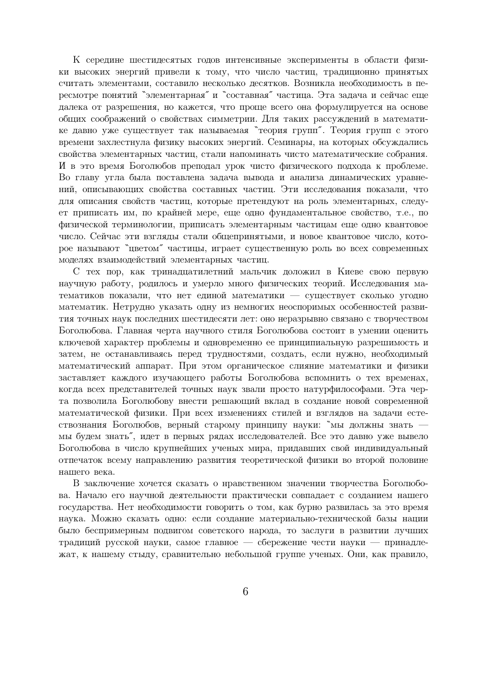К середине шестидесятых годов интенсивные эксперименты в области физики высоких энергий привели к тому, что число частиц, традиционно принятых считать элементами, составило несколько десятков. Возникла необходимость в пересмотре понятий "элементарная" и "составная" частица. Эта задача и сейчас еще далека от разрешения, но кажется, что проще всего она формулируется на основе общих соображений о свойствах симметрии. Для таких рассуждений в математике давно уже существует так называемая "теория групп". Теория групп с этого времени захлестнула физику высоких энергий. Семинары, на которых обсуждались свойства элементарных частиц, стали напоминать чисто математические собрания. И в это время Боголюбов преподал урок чисто физического подхода к проблеме. Во главу угла была поставлена задача вывода и анализа динамических уравнений, описывающих свойства составных частиц. Эти исследования показали, что для описания свойств частиц, которые претендуют на роль элементарных, следует приписать им, по крайней мере, еще одно фундаментальное свойство, т.е., по физической терминологии, приписать элементарным частицам еще одно квантовое число. Сейчас эти взгляды стали общепринятыми, и новое квантовое число, которое называют "цветом" частицы, играет существенную роль во всех современных моделях взаимодействий элементарных частиц.

С тех пор, как тринадцатилетний мальчик доложил в Киеве свою первую научную работу, родилось и умерло много физических теорий. Исследования математиков показали, что нет единой математики - существует сколько угодно математик. Нетрудно указать одну из немногих неоспоримых особенностей развития точных наук последних шестидесяти лет: оно неразрывно связано с творчеством Боголюбова. Главная черта научного стиля Боголюбова состоит в умении оценить ключевой характер проблемы и одновременно ее принципиальную разрешимость и затем, не останавливаясь перед трудностями, создать, если нужно, необходимый математический аппарат. При этом органическое слияние математики и физики заставляет каждого изучающего работы Боголюбова вспомнить о тех временах, когда всех представителей точных наук звали просто натурфилософами. Эта черта позволила Боголюбову внести решающий вклад в создание новой современной математической физики. При всех изменениях стилей и взглядов на задачи естествознания Боголюбов, верный старому принципу науки: "мы должны знать мы будем знать", идет в первых рядах исследователей. Все это давно уже вывело Боголюбова в число крупнейших ученых мира, придавших свой индивидуальный отпечаток всему направлению развития теоретической физики во второй половине нашего века.

В заключение хочется сказать о нравственном значении творчества Боголюбова. Начало его научной деятельности практически совпадает с созданием нашего государства. Нет необходимости говорить о том, как бурно развилась за это время наука. Можно сказать одно: если создание материально-технической базы нации было беспримерным подвигом советского народа, то заслуги в развитии лучших традиций русской науки, самое главное — сбережение чести науки — принадлежат, к нашему стыду, сравнительно небольшой группе ученых. Они, как правило,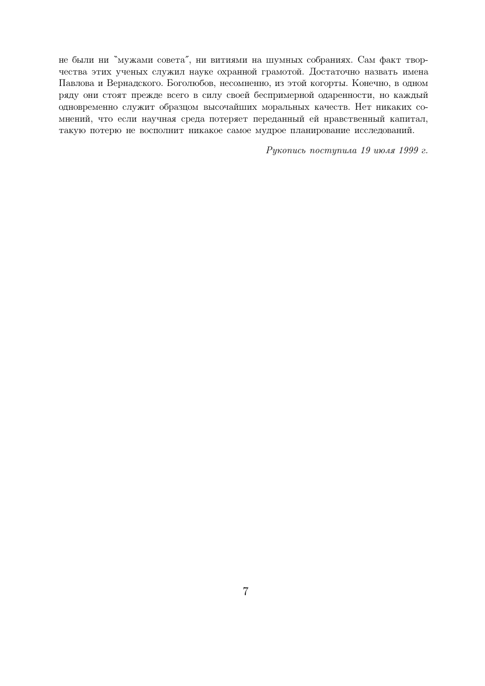не были ни "мужами совета", ни витиями на шумных собраниях. Сам факт творчества этих ученых служил науке охранной грамотой. Достаточно назвать имена Павлова и Вернадского. Боголюбов, несомненно, из этой когорты. Конечно, в одном ряду они стоят прежде всего в силу своей беспримерной одаренности, но каждый одновременно служит образцом высочайших моральных качеств. Нет никаких сомнений, что если научная среда потеряет переданный ей нравственный капитал, такую потерю не восполнит никакое самое мудрое планирование исследований.

Рукопись поступила 19 июля 1999 г.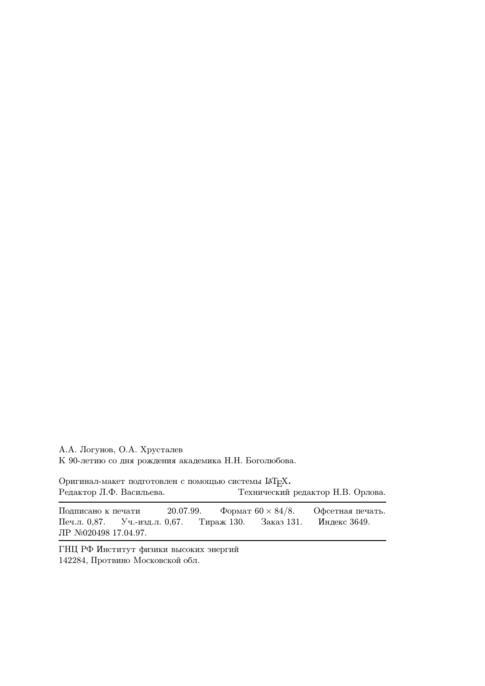А.А. Логунов, О.А. Хрусталев К 90-летию со дня рождения академика Н.Н. Боголюбова.

Оригинал-макет подготовлен с помощью системы  $\mathbb{A}T_{E}X$ . Редактор Л.Ф. Васильева. Технический редактор Н.В. Орлова.

Подписано к печати 20.07.99. Формат  $60 \times 84/8$ . Офсетная печать. Печ.л. 0,87. Уч.-изд.л. 0,67. Тираж 130. Заказ 131. Индекс 3649. JIP №020498 17.04.97.

ГНЦ РФ Институт физики высоких энергий 142284, Протвино Московской обл.